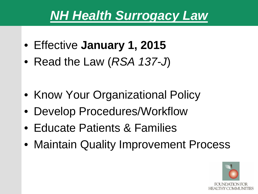# *NH Health Surrogacy Law*

- Effective **January 1, 2015**
- Read the Law (*RSA 137-J*)
- Know Your Organizational Policy
- Develop Procedures/Workflow
- Educate Patients & Families
- Maintain Quality Improvement Process

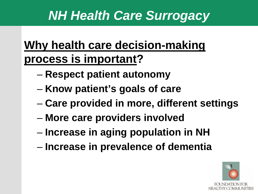# *NH Health Care Surrogacy*

## **Why health care decision-making process is important?**

- **Respect patient autonomy**
- **Know patient's goals of care**
- **Care provided in more, different settings**
- **More care providers involved**
- **Increase in aging population in NH**
- **Increase in prevalence of dementia**

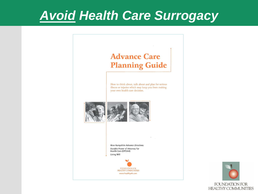## *Avoid Health Care Surrogacy*



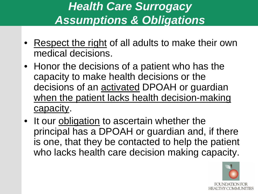### *Health Care Surrogacy Assumptions & Obligations*

- Respect the right of all adults to make their own medical decisions.
- Honor the decisions of a patient who has the capacity to make health decisions or the decisions of an **activated DPOAH** or guardian when the patient lacks health decision-making capacity.
- It our obligation to ascertain whether the principal has a DPOAH or guardian and, if there is one, that they be contacted to help the patient who lacks health care decision making capacity.

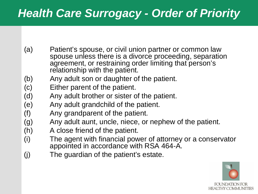#### *Health Care Surrogacy - Order of Priority*

- (a) Patient's spouse, or civil union partner or common law spouse unless there is a divorce proceeding, separation agreement, or restraining order limiting that person's relationship with the patient.
- (b) Any adult son or daughter of the patient.
- (c) Either parent of the patient.
- (d) Any adult brother or sister of the patient.
- (e) Any adult grandchild of the patient.
- (f) Any grandparent of the patient.
- (g) Any adult aunt, uncle, niece, or nephew of the patient.
- (h) A close friend of the patient.
- (i) The agent with financial power of attorney or a conservator appointed in accordance with RSA 464-A.
- (j) The guardian of the patient's estate.

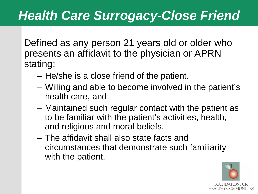# *Health Care Surrogacy-Close Friend*

Defined as any person 21 years old or older who presents an affidavit to the physician or APRN stating:

- He/she is a close friend of the patient.
- Willing and able to become involved in the patient's health care, and
- Maintained such regular contact with the patient as to be familiar with the patient's activities, health, and religious and moral beliefs.
- The affidavit shall also state facts and circumstances that demonstrate such familiarity with the patient.

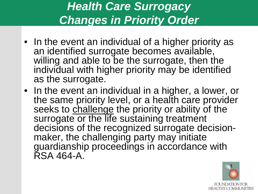### *Health Care Surrogacy Changes in Priority Order*

- In the event an individual of a higher priority as an identified surrogate becomes available, willing and able to be the surrogate, then the individual with higher priority may be identified as the surrogate.
- In the event an individual in a higher, a lower, or the same priority level, or a health care provider seeks to challenge the priority or ability of the surrogate or the life sustaining treatment decisions of the recognized surrogate decision- maker, the challenging party may initiate guardianship proceedings in accordance with RSA 464-A.

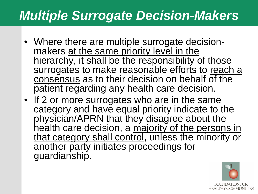## *Multiple Surrogate Decision-Makers*

- Where there are multiple surrogate decision- makers at the same priority level in the hierarchy, it shall be the responsibility of those surrogates to make reasonable efforts to reach a consensus as to their decision on behalf of the patient regarding any health care decision.
- If 2 or more surrogates who are in the same category and have equal priority indicate to the physician/APRN that they disagree about the health care decision, a majority of the persons in that category shall control, unless the minority or another party initiates proceedings for guardianship.

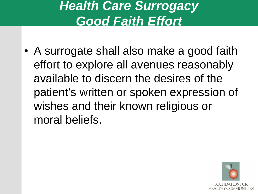# *Health Care Surrogacy Good Faith Effort*

• A surrogate shall also make a good faith effort to explore all avenues reasonably available to discern the desires of the patient's written or spoken expression of wishes and their known religious or moral beliefs.

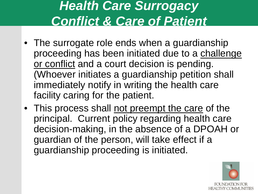# *Health Care Surrogacy Conflict & Care of Patient*

- The surrogate role ends when a guardianship proceeding has been initiated due to a challenge or conflict and a court decision is pending. (Whoever initiates a guardianship petition shall immediately notify in writing the health care facility caring for the patient.
- This process shall not preempt the care of the principal. Current policy regarding health care decision-making, in the absence of a DPOAH or guardian of the person, will take effect if a guardianship proceeding is initiated.

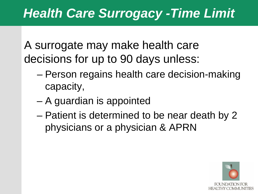A surrogate may make health care decisions for up to 90 days unless:

- Person regains health care decision-making capacity,
- A guardian is appointed
- Patient is determined to be near death by 2 physicians or a physician & APRN

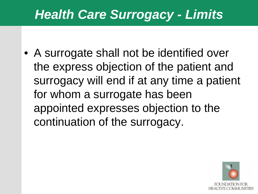# *Health Care Surrogacy - Limits*

• A surrogate shall not be identified over the express objection of the patient and surrogacy will end if at any time a patient for whom a surrogate has been appointed expresses objection to the continuation of the surrogacy.